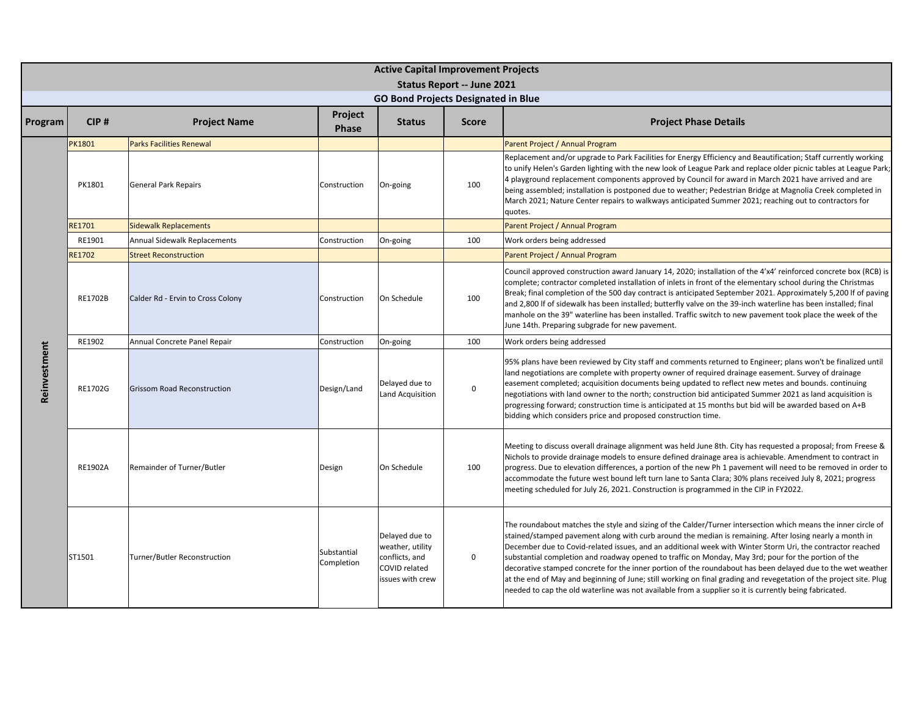|              |               |                                    |                           | <b>Active Capital Improvement Projects</b><br><b>Status Report -- June 2021</b>                  |              |                                                                                                                                                                                                                                                                                                                                                                                                                                                                                                                                                                                                                                                                                                                                                                                               |  |  |
|--------------|---------------|------------------------------------|---------------------------|--------------------------------------------------------------------------------------------------|--------------|-----------------------------------------------------------------------------------------------------------------------------------------------------------------------------------------------------------------------------------------------------------------------------------------------------------------------------------------------------------------------------------------------------------------------------------------------------------------------------------------------------------------------------------------------------------------------------------------------------------------------------------------------------------------------------------------------------------------------------------------------------------------------------------------------|--|--|
|              |               |                                    |                           | <b>GO Bond Projects Designated in Blue</b>                                                       |              |                                                                                                                                                                                                                                                                                                                                                                                                                                                                                                                                                                                                                                                                                                                                                                                               |  |  |
| Program      | CIP#          | <b>Project Name</b>                | Project<br><b>Phase</b>   | <b>Status</b>                                                                                    | <b>Score</b> | <b>Project Phase Details</b>                                                                                                                                                                                                                                                                                                                                                                                                                                                                                                                                                                                                                                                                                                                                                                  |  |  |
|              | PK1801        | <b>Parks Facilities Renewal</b>    |                           |                                                                                                  |              | Parent Project / Annual Program                                                                                                                                                                                                                                                                                                                                                                                                                                                                                                                                                                                                                                                                                                                                                               |  |  |
|              | PK1801        | <b>General Park Repairs</b>        | Construction              | On-going                                                                                         | 100          | Replacement and/or upgrade to Park Facilities for Energy Efficiency and Beautification; Staff currently working<br>to unify Helen's Garden lighting with the new look of League Park and replace older picnic tables at League Park;<br>4 playground replacement components approved by Council for award in March 2021 have arrived and are<br>being assembled; installation is postponed due to weather; Pedestrian Bridge at Magnolia Creek completed in<br>March 2021; Nature Center repairs to walkways anticipated Summer 2021; reaching out to contractors for<br>quotes.                                                                                                                                                                                                              |  |  |
|              | <b>RE1701</b> | <b>Sidewalk Replacements</b>       |                           |                                                                                                  |              | Parent Project / Annual Program                                                                                                                                                                                                                                                                                                                                                                                                                                                                                                                                                                                                                                                                                                                                                               |  |  |
|              | RE1901        | Annual Sidewalk Replacements       | Construction              | On-going                                                                                         | 100          | Work orders being addressed                                                                                                                                                                                                                                                                                                                                                                                                                                                                                                                                                                                                                                                                                                                                                                   |  |  |
|              | <b>RE1702</b> | <b>Street Reconstruction</b>       |                           |                                                                                                  |              | Parent Project / Annual Program                                                                                                                                                                                                                                                                                                                                                                                                                                                                                                                                                                                                                                                                                                                                                               |  |  |
|              | RE1702B       | Calder Rd - Ervin to Cross Colony  | Construction              | On Schedule                                                                                      | 100          | Council approved construction award January 14, 2020; installation of the 4'x4' reinforced concrete box (RCB) is<br>complete; contractor completed installation of inlets in front of the elementary school during the Christmas<br>Break; final completion of the 500 day contract is anticipated September 2021. Approximately 5,200 If of paving<br>and 2,800 If of sidewalk has been installed; butterfly valve on the 39-inch waterline has been installed; final<br>manhole on the 39" waterline has been installed. Traffic switch to new pavement took place the week of the<br>June 14th. Preparing subgrade for new pavement.                                                                                                                                                       |  |  |
|              | RE1902        | Annual Concrete Panel Repair       | Construction              | On-going                                                                                         | 100          | Work orders being addressed                                                                                                                                                                                                                                                                                                                                                                                                                                                                                                                                                                                                                                                                                                                                                                   |  |  |
| Reinvestment | RE1702G       | <b>Grissom Road Reconstruction</b> | Design/Land               | Delayed due to<br>Land Acquisition                                                               | $\mathbf 0$  | 95% plans have been reviewed by City staff and comments returned to Engineer; plans won't be finalized until<br>land negotiations are complete with property owner of required drainage easement. Survey of drainage<br>easement completed; acquisition documents being updated to reflect new metes and bounds. continuing<br>negotiations with land owner to the north; construction bid anticipated Summer 2021 as land acquisition is<br>progressing forward; construction time is anticipated at 15 months but bid will be awarded based on A+B<br>bidding which considers price and proposed construction time.                                                                                                                                                                         |  |  |
|              | RE1902A       | Remainder of Turner/Butler         | Design                    | On Schedule                                                                                      | 100          | Meeting to discuss overall drainage alignment was held June 8th. City has requested a proposal; from Freese &<br>Nichols to provide drainage models to ensure defined drainage area is achievable. Amendment to contract in<br>progress. Due to elevation differences, a portion of the new Ph 1 pavement will need to be removed in order to<br>accommodate the future west bound left turn lane to Santa Clara; 30% plans received July 8, 2021; progress<br>meeting scheduled for July 26, 2021. Construction is programmed in the CIP in FY2022.                                                                                                                                                                                                                                          |  |  |
|              | ST1501        | Turner/Butler Reconstruction       | Substantial<br>Completion | Delayed due to<br>weather, utility<br>conflicts, and<br><b>COVID related</b><br>issues with crew | $\mathbf 0$  | The roundabout matches the style and sizing of the Calder/Turner intersection which means the inner circle of<br>stained/stamped pavement along with curb around the median is remaining. After losing nearly a month in<br>December due to Covid-related issues, and an additional week with Winter Storm Uri, the contractor reached<br>substantial completion and roadway opened to traffic on Monday, May 3rd; pour for the portion of the<br>decorative stamped concrete for the inner portion of the roundabout has been delayed due to the wet weather<br>at the end of May and beginning of June; still working on final grading and revegetation of the project site. Plug<br>needed to cap the old waterline was not available from a supplier so it is currently being fabricated. |  |  |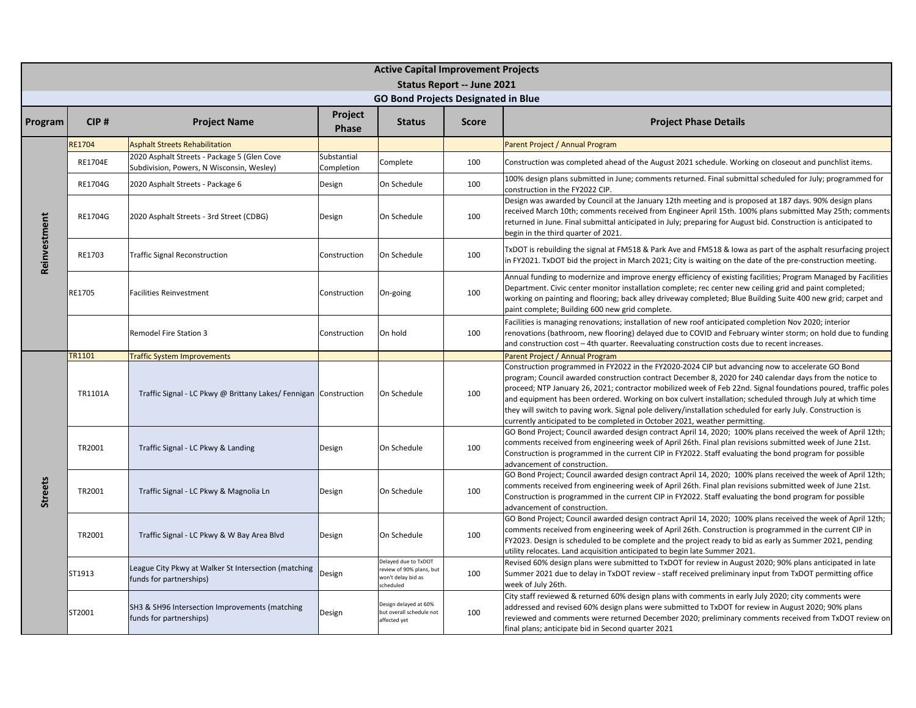|                |               |                                                                                          |                                | <b>Active Capital Improvement Projects</b>                                          |              |                                                                                                                                                                                                                                                                                                                                                                                                                                                                                                                                                                                                                                           |  |  |  |
|----------------|---------------|------------------------------------------------------------------------------------------|--------------------------------|-------------------------------------------------------------------------------------|--------------|-------------------------------------------------------------------------------------------------------------------------------------------------------------------------------------------------------------------------------------------------------------------------------------------------------------------------------------------------------------------------------------------------------------------------------------------------------------------------------------------------------------------------------------------------------------------------------------------------------------------------------------------|--|--|--|
|                |               |                                                                                          |                                | <b>Status Report -- June 2021</b>                                                   |              |                                                                                                                                                                                                                                                                                                                                                                                                                                                                                                                                                                                                                                           |  |  |  |
|                |               |                                                                                          |                                | <b>GO Bond Projects Designated in Blue</b>                                          |              |                                                                                                                                                                                                                                                                                                                                                                                                                                                                                                                                                                                                                                           |  |  |  |
| Program        | CIP#          | <b>Project Name</b>                                                                      | <b>Project</b><br><b>Phase</b> | <b>Status</b>                                                                       | <b>Score</b> | <b>Project Phase Details</b>                                                                                                                                                                                                                                                                                                                                                                                                                                                                                                                                                                                                              |  |  |  |
|                | <b>RE1704</b> | <b>Asphalt Streets Rehabilitation</b>                                                    |                                |                                                                                     |              | Parent Project / Annual Program                                                                                                                                                                                                                                                                                                                                                                                                                                                                                                                                                                                                           |  |  |  |
|                | RE1704E       | 2020 Asphalt Streets - Package 5 (Glen Cove<br>Subdivision, Powers, N Wisconsin, Wesley) | Substantial<br>Completion      | Complete                                                                            | 100          | Construction was completed ahead of the August 2021 schedule. Working on closeout and punchlist items.                                                                                                                                                                                                                                                                                                                                                                                                                                                                                                                                    |  |  |  |
|                | RE1704G       | 2020 Asphalt Streets - Package 6                                                         | Design                         | On Schedule                                                                         | 100          | 100% design plans submitted in June; comments returned. Final submittal scheduled for July; programmed for<br>construction in the FY2022 CIP.                                                                                                                                                                                                                                                                                                                                                                                                                                                                                             |  |  |  |
|                | RE1704G       | 2020 Asphalt Streets - 3rd Street (CDBG)                                                 | Design                         | On Schedule                                                                         | 100          | Design was awarded by Council at the January 12th meeting and is proposed at 187 days. 90% design plans<br>received March 10th; comments received from Engineer April 15th. 100% plans submitted May 25th; comments<br>returned in June. Final submittal anticipated in July; preparing for August bid. Construction is anticipated to<br>begin in the third quarter of 2021.                                                                                                                                                                                                                                                             |  |  |  |
| Reinvestment   | RE1703        | <b>Traffic Signal Reconstruction</b>                                                     | Construction                   | On Schedule                                                                         | 100          | TxDOT is rebuilding the signal at FM518 & Park Ave and FM518 & lowa as part of the asphalt resurfacing project<br>in FY2021. TxDOT bid the project in March 2021; City is waiting on the date of the pre-construction meeting.                                                                                                                                                                                                                                                                                                                                                                                                            |  |  |  |
|                | RE1705        | Facilities Reinvestment                                                                  | Construction                   | On-going                                                                            | 100          | Annual funding to modernize and improve energy efficiency of existing facilities; Program Managed by Facilities<br>Department. Civic center monitor installation complete; rec center new ceiling grid and paint completed;<br>working on painting and flooring; back alley driveway completed; Blue Building Suite 400 new grid; carpet and<br>paint complete; Building 600 new grid complete.                                                                                                                                                                                                                                           |  |  |  |
|                |               | <b>Remodel Fire Station 3</b>                                                            | Construction                   | On hold                                                                             | 100          | Facilities is managing renovations; installation of new roof anticipated completion Nov 2020; interior<br>renovations (bathroom, new flooring) delayed due to COVID and February winter storm; on hold due to funding<br>and construction cost – 4th quarter. Reevaluating construction costs due to recent increases.                                                                                                                                                                                                                                                                                                                    |  |  |  |
|                | TR1101        | <b>Traffic System Improvements</b>                                                       |                                |                                                                                     |              | Parent Project / Annual Program                                                                                                                                                                                                                                                                                                                                                                                                                                                                                                                                                                                                           |  |  |  |
|                | TR1101A       | Traffic Signal - LC Pkwy @ Brittany Lakes/ Fennigan Construction                         |                                | On Schedule                                                                         | 100          | Construction programmed in FY2022 in the FY2020-2024 CIP but advancing now to accelerate GO Bond<br>program; Council awarded construction contract December 8, 2020 for 240 calendar days from the notice to<br>proceed; NTP January 26, 2021; contractor mobilized week of Feb 22nd. Signal foundations poured, traffic poles<br>and equipment has been ordered. Working on box culvert installation; scheduled through July at which time<br>they will switch to paving work. Signal pole delivery/installation scheduled for early July. Construction is<br>currently anticipated to be completed in October 2021, weather permitting. |  |  |  |
|                | TR2001        | Traffic Signal - LC Pkwy & Landing                                                       | Design                         | On Schedule                                                                         | 100          | GO Bond Project; Council awarded design contract April 14, 2020; 100% plans received the week of April 12th;<br>comments received from engineering week of April 26th. Final plan revisions submitted week of June 21st.<br>Construction is programmed in the current CIP in FY2022. Staff evaluating the bond program for possible<br>advancement of construction.                                                                                                                                                                                                                                                                       |  |  |  |
| <b>Streets</b> | TR2001        | Traffic Signal - LC Pkwy & Magnolia Ln                                                   | Design                         | On Schedule                                                                         | 100          | GO Bond Project; Council awarded design contract April 14, 2020; 100% plans received the week of April 12th;<br>comments received from engineering week of April 26th. Final plan revisions submitted week of June 21st.<br>Construction is programmed in the current CIP in FY2022. Staff evaluating the bond program for possible<br>advancement of construction.                                                                                                                                                                                                                                                                       |  |  |  |
|                | TR2001        | Traffic Signal - LC Pkwy & W Bay Area Blvd                                               | Design                         | On Schedule                                                                         | 100          | GO Bond Project; Council awarded design contract April 14, 2020; 100% plans received the week of April 12th;<br>comments received from engineering week of April 26th. Construction is programmed in the current CIP in<br>FY2023. Design is scheduled to be complete and the project ready to bid as early as Summer 2021, pending<br>utility relocates. Land acquisition anticipated to begin late Summer 2021.                                                                                                                                                                                                                         |  |  |  |
|                | ST1913        | League City Pkwy at Walker St Intersection (matching<br>funds for partnerships)          | Design                         | Delayed due to TxDOT<br>review of 90% plans, but<br>won't delay bid as<br>scheduled | 100          | Revised 60% design plans were submitted to TxDOT for review in August 2020; 90% plans anticipated in late<br>Summer 2021 due to delay in TxDOT review - staff received preliminary input from TxDOT permitting office<br>week of July 26th.                                                                                                                                                                                                                                                                                                                                                                                               |  |  |  |
|                | ST2001        | SH3 & SH96 Intersection Improvements (matching<br>funds for partnerships)                | Design                         | Design delayed at 60%<br>but overall schedule not<br>affected yet                   | 100          | City staff reviewed & returned 60% design plans with comments in early July 2020; city comments were<br>addressed and revised 60% design plans were submitted to TxDOT for review in August 2020; 90% plans<br>reviewed and comments were returned December 2020; preliminary comments received from TxDOT review on<br>final plans; anticipate bid in Second quarter 2021                                                                                                                                                                                                                                                                |  |  |  |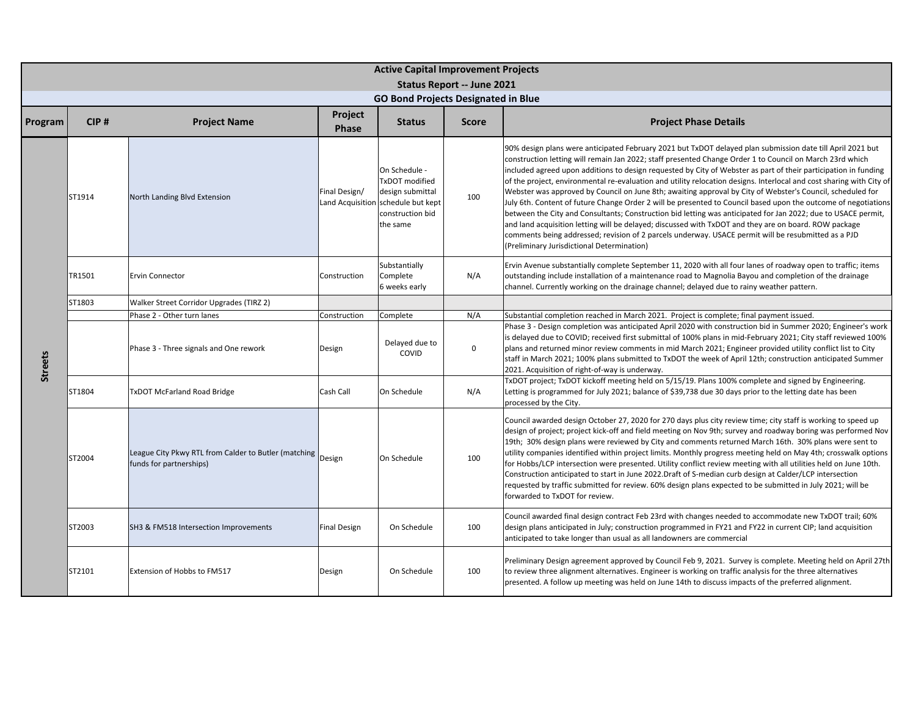|                | <b>Active Capital Improvement Projects</b> |                                                                                        |                     |                                                                                                                           |                                                                                 |                                                                                                                                                                                                                                                                                                                                                                                                                                                                                                                                                                                                                                                                                                                                                                                                                                                                                                                                                                                                                                                                                 |  |  |  |
|----------------|--------------------------------------------|----------------------------------------------------------------------------------------|---------------------|---------------------------------------------------------------------------------------------------------------------------|---------------------------------------------------------------------------------|---------------------------------------------------------------------------------------------------------------------------------------------------------------------------------------------------------------------------------------------------------------------------------------------------------------------------------------------------------------------------------------------------------------------------------------------------------------------------------------------------------------------------------------------------------------------------------------------------------------------------------------------------------------------------------------------------------------------------------------------------------------------------------------------------------------------------------------------------------------------------------------------------------------------------------------------------------------------------------------------------------------------------------------------------------------------------------|--|--|--|
|                |                                            |                                                                                        |                     |                                                                                                                           | <b>Status Report -- June 2021</b><br><b>GO Bond Projects Designated in Blue</b> |                                                                                                                                                                                                                                                                                                                                                                                                                                                                                                                                                                                                                                                                                                                                                                                                                                                                                                                                                                                                                                                                                 |  |  |  |
| Program        | CIP#                                       | <b>Project Name</b>                                                                    | Project<br>Phase    | <b>Status</b>                                                                                                             | <b>Score</b>                                                                    | <b>Project Phase Details</b>                                                                                                                                                                                                                                                                                                                                                                                                                                                                                                                                                                                                                                                                                                                                                                                                                                                                                                                                                                                                                                                    |  |  |  |
|                | ST1914                                     | North Landing Blvd Extension                                                           | Final Design/       | On Schedule -<br>TxDOT modified<br>design submittal<br>Land Acquisition schedule but kept<br>construction bid<br>the same | 100                                                                             | 90% design plans were anticipated February 2021 but TxDOT delayed plan submission date till April 2021 but<br>construction letting will remain Jan 2022; staff presented Change Order 1 to Council on March 23rd which<br>included agreed upon additions to design requested by City of Webster as part of their participation in funding<br>of the project, environmental re-evaluation and utility relocation designs. Interlocal and cost sharing with City of<br>Webster was approved by Council on June 8th; awaiting approval by City of Webster's Council, scheduled for<br>July 6th. Content of future Change Order 2 will be presented to Council based upon the outcome of negotiations<br>between the City and Consultants; Construction bid letting was anticipated for Jan 2022; due to USACE permit,<br>and land acquisition letting will be delayed; discussed with TxDOT and they are on board. ROW package<br>comments being addressed; revision of 2 parcels underway. USACE permit will be resubmitted as a PJD<br>Preliminary Jurisdictional Determination) |  |  |  |
|                | TR1501                                     | <b>Ervin Connector</b>                                                                 | Construction        | Substantially<br>Complete<br>6 weeks early                                                                                | N/A                                                                             | Ervin Avenue substantially complete September 11, 2020 with all four lanes of roadway open to traffic; items<br>outstanding include installation of a maintenance road to Magnolia Bayou and completion of the drainage<br>channel. Currently working on the drainage channel; delayed due to rainy weather pattern.                                                                                                                                                                                                                                                                                                                                                                                                                                                                                                                                                                                                                                                                                                                                                            |  |  |  |
|                | ST1803                                     | Walker Street Corridor Upgrades (TIRZ 2)                                               |                     |                                                                                                                           |                                                                                 |                                                                                                                                                                                                                                                                                                                                                                                                                                                                                                                                                                                                                                                                                                                                                                                                                                                                                                                                                                                                                                                                                 |  |  |  |
|                |                                            | Phase 2 - Other turn lanes                                                             | Construction        | Complete                                                                                                                  | N/A                                                                             | Substantial completion reached in March 2021. Project is complete; final payment issued.                                                                                                                                                                                                                                                                                                                                                                                                                                                                                                                                                                                                                                                                                                                                                                                                                                                                                                                                                                                        |  |  |  |
| <b>Streets</b> |                                            | Phase 3 - Three signals and One rework                                                 | Design              | Delayed due to<br>COVID                                                                                                   | $\mathbf 0$                                                                     | Phase 3 - Design completion was anticipated April 2020 with construction bid in Summer 2020; Engineer's work<br>is delayed due to COVID; received first submittal of 100% plans in mid-February 2021; City staff reviewed 100%<br>plans and returned minor review comments in mid March 2021; Engineer provided utility conflict list to City<br>staff in March 2021; 100% plans submitted to TxDOT the week of April 12th; construction anticipated Summer<br>2021. Acquisition of right-of-way is underway.                                                                                                                                                                                                                                                                                                                                                                                                                                                                                                                                                                   |  |  |  |
|                | ST1804                                     | <b>TxDOT McFarland Road Bridge</b>                                                     | Cash Call           | On Schedule                                                                                                               | N/A                                                                             | TxDOT project; TxDOT kickoff meeting held on 5/15/19. Plans 100% complete and signed by Engineering.<br>Letting is programmed for July 2021; balance of \$39,738 due 30 days prior to the letting date has been<br>processed by the City.                                                                                                                                                                                                                                                                                                                                                                                                                                                                                                                                                                                                                                                                                                                                                                                                                                       |  |  |  |
|                | ST2004                                     | League City Pkwy RTL from Calder to Butler (matching Design<br>funds for partnerships) |                     | On Schedule                                                                                                               | 100                                                                             | Council awarded design October 27, 2020 for 270 days plus city review time; city staff is working to speed up<br>design of project; project kick-off and field meeting on Nov 9th; survey and roadway boring was performed Nov<br>19th; 30% design plans were reviewed by City and comments returned March 16th. 30% plans were sent to<br>utility companies identified within project limits. Monthly progress meeting held on May 4th; crosswalk options<br>for Hobbs/LCP intersection were presented. Utility conflict review meeting with all utilities held on June 10th.<br>Construction anticipated to start in June 2022. Draft of S-median curb design at Calder/LCP intersection<br>equested by traffic submitted for review. 60% design plans expected to be submitted in July 2021; will be<br>forwarded to TxDOT for review.                                                                                                                                                                                                                                       |  |  |  |
|                | ST2003                                     | SH3 & FM518 Intersection Improvements                                                  | <b>Final Design</b> | On Schedule                                                                                                               | 100                                                                             | Council awarded final design contract Feb 23rd with changes needed to accommodate new TxDOT trail; 60%<br>design plans anticipated in July; construction programmed in FY21 and FY22 in current CIP; land acquisition<br>anticipated to take longer than usual as all landowners are commercial                                                                                                                                                                                                                                                                                                                                                                                                                                                                                                                                                                                                                                                                                                                                                                                 |  |  |  |
|                | ST2101                                     | Extension of Hobbs to FM517                                                            | Design              | On Schedule                                                                                                               | 100                                                                             | Preliminary Design agreement approved by Council Feb 9, 2021. Survey is complete. Meeting held on April 27th<br>to review three alignment alternatives. Engineer is working on traffic analysis for the three alternatives<br>presented. A follow up meeting was held on June 14th to discuss impacts of the preferred alignment.                                                                                                                                                                                                                                                                                                                                                                                                                                                                                                                                                                                                                                                                                                                                               |  |  |  |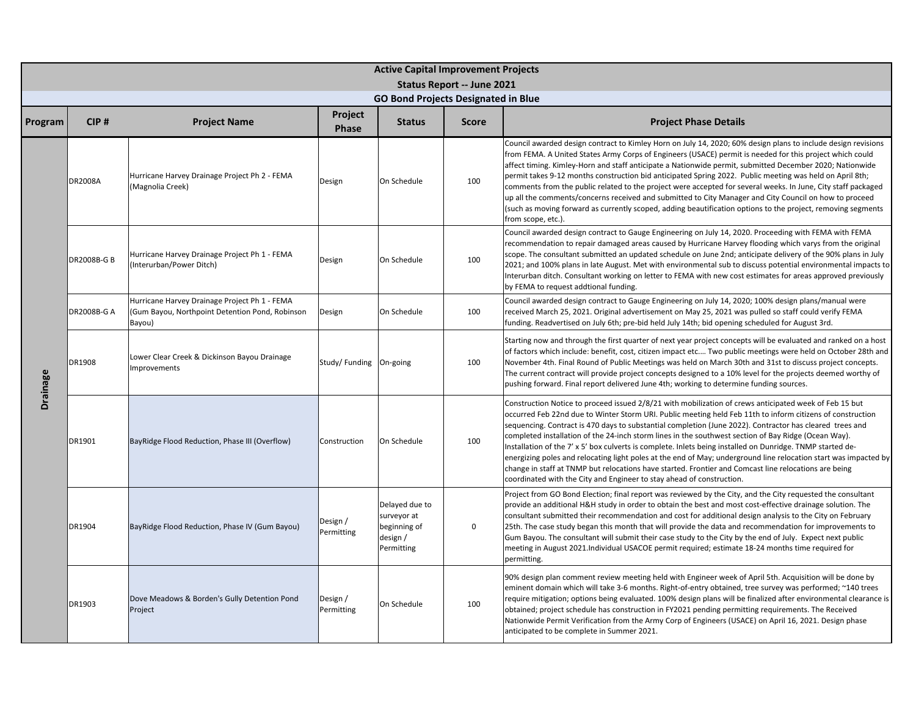|          |                    |                                                                                                            |                         |                                                                         | <b>Active Capital Improvement Projects</b><br><b>Status Report -- June 2021</b> |                                                                                                                                                                                                                                                                                                                                                                                                                                                                                                                                                                                                                                                                                                                                                                                                                                                              |  |  |  |
|----------|--------------------|------------------------------------------------------------------------------------------------------------|-------------------------|-------------------------------------------------------------------------|---------------------------------------------------------------------------------|--------------------------------------------------------------------------------------------------------------------------------------------------------------------------------------------------------------------------------------------------------------------------------------------------------------------------------------------------------------------------------------------------------------------------------------------------------------------------------------------------------------------------------------------------------------------------------------------------------------------------------------------------------------------------------------------------------------------------------------------------------------------------------------------------------------------------------------------------------------|--|--|--|
|          |                    |                                                                                                            |                         | <b>GO Bond Projects Designated in Blue</b>                              |                                                                                 |                                                                                                                                                                                                                                                                                                                                                                                                                                                                                                                                                                                                                                                                                                                                                                                                                                                              |  |  |  |
| Program  | CIP#               | <b>Project Name</b>                                                                                        | Project<br><b>Phase</b> | <b>Status</b>                                                           | <b>Score</b>                                                                    | <b>Project Phase Details</b>                                                                                                                                                                                                                                                                                                                                                                                                                                                                                                                                                                                                                                                                                                                                                                                                                                 |  |  |  |
|          | <b>DR2008A</b>     | Hurricane Harvey Drainage Project Ph 2 - FEMA<br>(Magnolia Creek)                                          | Design                  | On Schedule                                                             | 100                                                                             | Council awarded design contract to Kimley Horn on July 14, 2020; 60% design plans to include design revisions<br>from FEMA. A United States Army Corps of Engineers (USACE) permit is needed for this project which could<br>affect timing. Kimley-Horn and staff anticipate a Nationwide permit, submitted December 2020; Nationwide<br>permit takes 9-12 months construction bid anticipated Spring 2022. Public meeting was held on April 8th;<br>comments from the public related to the project were accepted for several weeks. In June, City staff packaged<br>up all the comments/concerns received and submitted to City Manager and City Council on how to proceed<br>(such as moving forward as currently scoped, adding beautification options to the project, removing segments<br>from scope, etc.).                                           |  |  |  |
|          | <b>DR2008B-G B</b> | Hurricane Harvey Drainage Project Ph 1 - FEMA<br>(Interurban/Power Ditch)                                  | Design                  | On Schedule                                                             | 100                                                                             | Council awarded design contract to Gauge Engineering on July 14, 2020. Proceeding with FEMA with FEMA<br>recommendation to repair damaged areas caused by Hurricane Harvey flooding which varys from the original<br>scope. The consultant submitted an updated schedule on June 2nd; anticipate delivery of the 90% plans in July<br>2021; and 100% plans in late August. Met with environmental sub to discuss potential environmental impacts to<br>Interurban ditch. Consultant working on letter to FEMA with new cost estimates for areas approved previously<br>by FEMA to request addtional funding.                                                                                                                                                                                                                                                 |  |  |  |
| Drainage | DR2008B-G A        | Hurricane Harvey Drainage Project Ph 1 - FEMA<br>(Gum Bayou, Northpoint Detention Pond, Robinson<br>Bayou) | Design                  | On Schedule                                                             | 100                                                                             | Council awarded design contract to Gauge Engineering on July 14, 2020; 100% design plans/manual were<br>received March 25, 2021. Original advertisement on May 25, 2021 was pulled so staff could verify FEMA<br>funding. Readvertised on July 6th; pre-bid held July 14th; bid opening scheduled for August 3rd.                                                                                                                                                                                                                                                                                                                                                                                                                                                                                                                                            |  |  |  |
|          | DR1908             | Lower Clear Creek & Dickinson Bayou Drainage<br>mprovements                                                | Study/Funding On-going  |                                                                         | 100                                                                             | Starting now and through the first quarter of next year project concepts will be evaluated and ranked on a host<br>of factors which include: benefit, cost, citizen impact etc Two public meetings were held on October 28th and<br>November 4th. Final Round of Public Meetings was held on March 30th and 31st to discuss project concepts.<br>The current contract will provide project concepts designed to a 10% level for the projects deemed worthy of<br>pushing forward. Final report delivered June 4th; working to determine funding sources.                                                                                                                                                                                                                                                                                                     |  |  |  |
|          | DR1901             | BayRidge Flood Reduction, Phase III (Overflow)                                                             | Construction            | On Schedule                                                             | 100                                                                             | Construction Notice to proceed issued 2/8/21 with mobilization of crews anticipated week of Feb 15 but<br>occurred Feb 22nd due to Winter Storm URI. Public meeting held Feb 11th to inform citizens of construction<br>sequencing. Contract is 470 days to substantial completion (June 2022). Contractor has cleared trees and<br>completed installation of the 24-inch storm lines in the southwest section of Bay Ridge (Ocean Way).<br>Installation of the 7' x 5' box culverts is complete. Inlets being installed on Dunridge. TNMP started de-<br>energizing poles and relocating light poles at the end of May; underground line relocation start was impacted by<br>change in staff at TNMP but relocations have started. Frontier and Comcast line relocations are being<br>coordinated with the City and Engineer to stay ahead of construction. |  |  |  |
|          | DR1904             | BayRidge Flood Reduction, Phase IV (Gum Bayou)                                                             | Design /<br>Permitting  | Delayed due to<br>surveyor at<br>beginning of<br>design /<br>Permitting | $\mathsf 0$                                                                     | Project from GO Bond Election; final report was reviewed by the City, and the City requested the consultant<br>provide an additional H&H study in order to obtain the best and most cost-effective drainage solution. The<br>consultant submitted their recommendation and cost for additional design analysis to the City on February<br>25th. The case study began this month that will provide the data and recommendation for improvements to<br>Gum Bayou. The consultant will submit their case study to the City by the end of July. Expect next public<br>meeting in August 2021. Individual USACOE permit required; estimate 18-24 months time required for<br>permitting.                                                                                                                                                                          |  |  |  |
|          | DR1903             | Dove Meadows & Borden's Gully Detention Pond<br>Project                                                    | Design /<br>Permitting  | On Schedule                                                             | 100                                                                             | 90% design plan comment review meeting held with Engineer week of April 5th. Acquisition will be done by<br>eminent domain which will take 3-6 months. Right-of-entry obtained, tree survey was performed; ~140 trees<br>require mitigation; options being evaluated. 100% design plans will be finalized after environmental clearance is<br>obtained; project schedule has construction in FY2021 pending permitting requirements. The Received<br>Nationwide Permit Verification from the Army Corp of Engineers (USACE) on April 16, 2021. Design phase<br>anticipated to be complete in Summer 2021.                                                                                                                                                                                                                                                    |  |  |  |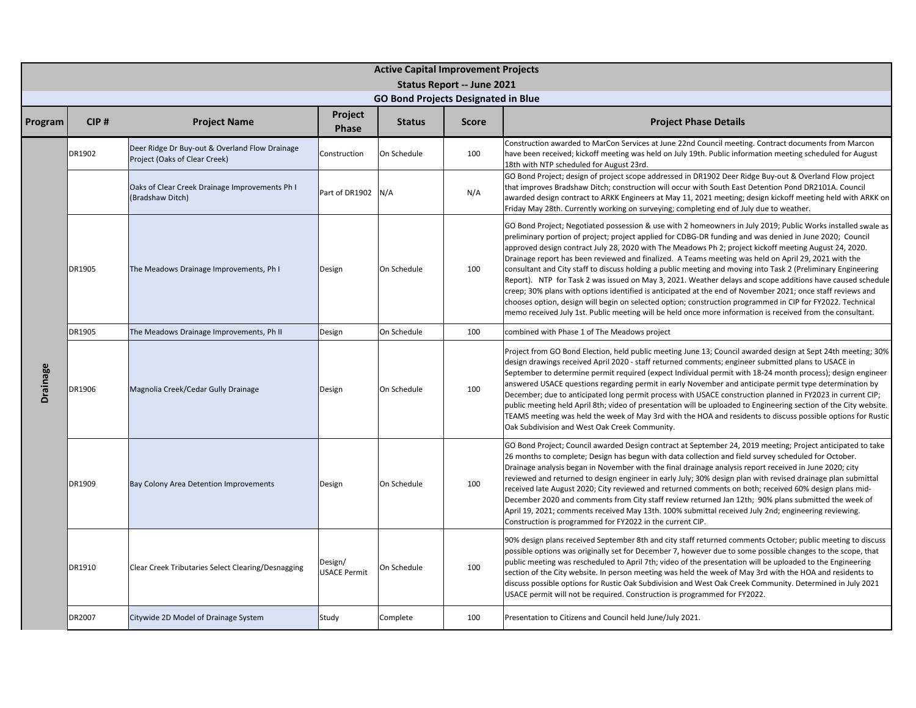|          | <b>Active Capital Improvement Projects</b><br>Status Report -- June 2021 |                                                                                 |                                |               |              |                                                                                                                                                                                                                                                                                                                                                                                                                                                                                                                                                                                                                                                                                                                                                                                                                                                                                                                                                                                                                      |  |  |  |  |  |
|----------|--------------------------------------------------------------------------|---------------------------------------------------------------------------------|--------------------------------|---------------|--------------|----------------------------------------------------------------------------------------------------------------------------------------------------------------------------------------------------------------------------------------------------------------------------------------------------------------------------------------------------------------------------------------------------------------------------------------------------------------------------------------------------------------------------------------------------------------------------------------------------------------------------------------------------------------------------------------------------------------------------------------------------------------------------------------------------------------------------------------------------------------------------------------------------------------------------------------------------------------------------------------------------------------------|--|--|--|--|--|
|          | <b>GO Bond Projects Designated in Blue</b><br><b>Project</b>             |                                                                                 |                                |               |              |                                                                                                                                                                                                                                                                                                                                                                                                                                                                                                                                                                                                                                                                                                                                                                                                                                                                                                                                                                                                                      |  |  |  |  |  |
| Program  | CIP#                                                                     | <b>Project Name</b>                                                             | <b>Phase</b>                   | <b>Status</b> | <b>Score</b> | <b>Project Phase Details</b>                                                                                                                                                                                                                                                                                                                                                                                                                                                                                                                                                                                                                                                                                                                                                                                                                                                                                                                                                                                         |  |  |  |  |  |
|          | DR1902                                                                   | Deer Ridge Dr Buy-out & Overland Flow Drainage<br>Project (Oaks of Clear Creek) | Construction                   | On Schedule   | 100          | Construction awarded to MarCon Services at June 22nd Council meeting. Contract documents from Marcon<br>have been received; kickoff meeting was held on July 19th. Public information meeting scheduled for August<br>18th with NTP scheduled for August 23rd.                                                                                                                                                                                                                                                                                                                                                                                                                                                                                                                                                                                                                                                                                                                                                       |  |  |  |  |  |
|          |                                                                          | Oaks of Clear Creek Drainage Improvements Ph I<br>(Bradshaw Ditch)              | Part of DR1902 N/A             |               | N/A          | GO Bond Project; design of project scope addressed in DR1902 Deer Ridge Buy-out & Overland Flow project<br>that improves Bradshaw Ditch; construction will occur with South East Detention Pond DR2101A. Council<br>awarded design contract to ARKK Engineers at May 11, 2021 meeting; design kickoff meeting held with ARKK on<br>Friday May 28th. Currently working on surveying; completing end of July due to weather.                                                                                                                                                                                                                                                                                                                                                                                                                                                                                                                                                                                           |  |  |  |  |  |
|          | DR1905                                                                   | The Meadows Drainage Improvements, Ph I                                         | Design                         | On Schedule   | 100          | GO Bond Project; Negotiated possession & use with 2 homeowners in July 2019; Public Works installed swale as<br>preliminary portion of project; project applied for CDBG-DR funding and was denied in June 2020; Council<br>approved design contract July 28, 2020 with The Meadows Ph 2; project kickoff meeting August 24, 2020.<br>Drainage report has been reviewed and finalized. A Teams meeting was held on April 29, 2021 with the<br>consultant and City staff to discuss holding a public meeting and moving into Task 2 (Preliminary Engineering<br>Report). NTP for Task 2 was issued on May 3, 2021. Weather delays and scope additions have caused schedule<br>creep; 30% plans with options identified is anticipated at the end of November 2021; once staff reviews and<br>chooses option, design will begin on selected option; construction programmed in CIP for FY2022. Technical<br>memo received July 1st. Public meeting will be held once more information is received from the consultant. |  |  |  |  |  |
|          | DR1905                                                                   | The Meadows Drainage Improvements, Ph II                                        | Design                         | On Schedule   | 100          | combined with Phase 1 of The Meadows project                                                                                                                                                                                                                                                                                                                                                                                                                                                                                                                                                                                                                                                                                                                                                                                                                                                                                                                                                                         |  |  |  |  |  |
| Drainage | DR1906                                                                   | Magnolia Creek/Cedar Gully Drainage                                             | Design                         | On Schedule   | 100          | Project from GO Bond Election, held public meeting June 13; Council awarded design at Sept 24th meeting; 30%<br>design drawings received April 2020 - staff returned comments; engineer submitted plans to USACE in<br>September to determine permit required (expect Individual permit with 18-24 month process); design engineer<br>answered USACE questions regarding permit in early November and anticipate permit type determination by<br>December; due to anticipated long permit process with USACE construction planned in FY2023 in current CIP;<br>public meeting held April 8th; video of presentation will be uploaded to Engineering section of the City website.<br>TEAMS meeting was held the week of May 3rd with the HOA and residents to discuss possible options for Rustic<br>Oak Subdivision and West Oak Creek Community.                                                                                                                                                                    |  |  |  |  |  |
|          | DR1909                                                                   | Bay Colony Area Detention Improvements                                          | Design                         | On Schedule   | 100          | GO Bond Project; Council awarded Design contract at September 24, 2019 meeting; Project anticipated to take<br>26 months to complete; Design has begun with data collection and field survey scheduled for October.<br>Drainage analysis began in November with the final drainage analysis report received in June 2020; city<br>reviewed and returned to design engineer in early July; 30% design plan with revised drainage plan submittal<br>received late August 2020; City reviewed and returned comments on both; received 60% design plans mid-<br>December 2020 and comments from City staff review returned Jan 12th; 90% plans submitted the week of<br>April 19, 2021; comments received May 13th. 100% submittal received July 2nd; engineering reviewing.<br>Construction is programmed for FY2022 in the current CIP.                                                                                                                                                                                |  |  |  |  |  |
|          | DR1910                                                                   | Clear Creek Tributaries Select Clearing/Desnagging                              | Design/<br><b>USACE Permit</b> | On Schedule   | 100          | 90% design plans received September 8th and city staff returned comments October; public meeting to discuss<br>possible options was originally set for December 7, however due to some possible changes to the scope, that<br>public meeting was rescheduled to April 7th; video of the presentation will be uploaded to the Engineering<br>section of the City website. In person meeting was held the week of May 3rd with the HOA and residents to<br>discuss possible options for Rustic Oak Subdivision and West Oak Creek Community. Determined in July 2021<br>USACE permit will not be required. Construction is programmed for FY2022.                                                                                                                                                                                                                                                                                                                                                                      |  |  |  |  |  |
|          | DR2007                                                                   | Citywide 2D Model of Drainage System                                            | Study                          | Complete      | 100          | Presentation to Citizens and Council held June/July 2021.                                                                                                                                                                                                                                                                                                                                                                                                                                                                                                                                                                                                                                                                                                                                                                                                                                                                                                                                                            |  |  |  |  |  |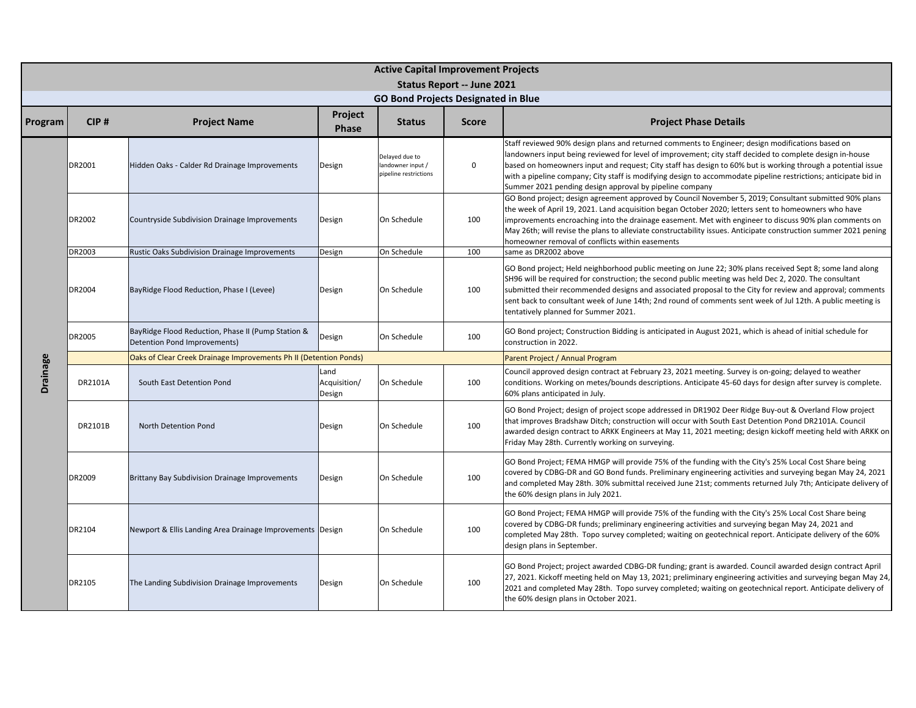|          |         |                                                                                    |                                | <b>Active Capital Improvement Projects</b>                   | <b>Status Report -- June 2021</b> |                                                                                                                                                                                                                                                                                                                                                                                                                                                                                                            |
|----------|---------|------------------------------------------------------------------------------------|--------------------------------|--------------------------------------------------------------|-----------------------------------|------------------------------------------------------------------------------------------------------------------------------------------------------------------------------------------------------------------------------------------------------------------------------------------------------------------------------------------------------------------------------------------------------------------------------------------------------------------------------------------------------------|
|          |         |                                                                                    |                                | <b>GO Bond Projects Designated in Blue</b>                   |                                   |                                                                                                                                                                                                                                                                                                                                                                                                                                                                                                            |
| Program  | CIP#    | <b>Project Name</b>                                                                | Project<br><b>Phase</b>        | <b>Status</b>                                                | <b>Score</b>                      | <b>Project Phase Details</b>                                                                                                                                                                                                                                                                                                                                                                                                                                                                               |
|          | DR2001  | Hidden Oaks - Calder Rd Drainage Improvements                                      | Design                         | Delayed due to<br>landowner input /<br>pipeline restrictions | $\mathbf 0$                       | Staff reviewed 90% design plans and returned comments to Engineer; design modifications based on<br>landowners input being reviewed for level of improvement; city staff decided to complete design in-house<br>based on homeowners input and request; City staff has design to 60% but is working through a potential issue<br>with a pipeline company; City staff is modifying design to accommodate pipeline restrictions; anticipate bid in<br>Summer 2021 pending design approval by pipeline company |
|          | DR2002  | Countryside Subdivision Drainage Improvements                                      | Design                         | On Schedule                                                  | 100                               | GO Bond project; design agreement approved by Council November 5, 2019; Consultant submitted 90% plans<br>the week of April 19, 2021. Land acquisition began October 2020; letters sent to homeowners who have<br>improvements encroaching into the drainage easement. Met with engineer to discuss 90% plan comments on<br>May 26th; will revise the plans to alleviate constructability issues. Anticipate construction summer 2021 pening<br>homeowner removal of conflicts within easements            |
|          | DR2003  | <b>Rustic Oaks Subdivision Drainage Improvements</b>                               | Design                         | On Schedule                                                  | 100                               | same as DR2002 above                                                                                                                                                                                                                                                                                                                                                                                                                                                                                       |
|          | DR2004  | BayRidge Flood Reduction, Phase I (Levee)                                          | Design                         | On Schedule                                                  | 100                               | GO Bond project; Held neighborhood public meeting on June 22; 30% plans received Sept 8; some land along<br>SH96 will be required for construction; the second public meeting was held Dec 2, 2020. The consultant<br>submitted their recommended designs and associated proposal to the City for review and approval; comments<br>sent back to consultant week of June 14th; 2nd round of comments sent week of Jul 12th. A public meeting is<br>tentatively planned for Summer 2021.                     |
|          | DR2005  | BayRidge Flood Reduction, Phase II (Pump Station &<br>Detention Pond Improvements) | Design                         | On Schedule                                                  | 100                               | GO Bond project; Construction Bidding is anticipated in August 2021, which is ahead of initial schedule for<br>construction in 2022.                                                                                                                                                                                                                                                                                                                                                                       |
|          |         | Oaks of Clear Creek Drainage Improvements Ph II (Detention Ponds)                  |                                |                                                              | Parent Project / Annual Program   |                                                                                                                                                                                                                                                                                                                                                                                                                                                                                                            |
| Drainage | DR2101A | South East Detention Pond                                                          | Land<br>Acquisition/<br>Design | On Schedule                                                  | 100                               | Council approved design contract at February 23, 2021 meeting. Survey is on-going; delayed to weather<br>conditions. Working on metes/bounds descriptions. Anticipate 45-60 days for design after survey is complete.<br>60% plans anticipated in July.                                                                                                                                                                                                                                                    |
|          | DR2101B | North Detention Pond                                                               | Design                         | On Schedule                                                  | 100                               | GO Bond Project; design of project scope addressed in DR1902 Deer Ridge Buy-out & Overland Flow project<br>that improves Bradshaw Ditch; construction will occur with South East Detention Pond DR2101A. Council<br>awarded design contract to ARKK Engineers at May 11, 2021 meeting; design kickoff meeting held with ARKK on<br>Friday May 28th. Currently working on surveying.                                                                                                                        |
|          | DR2009  | <b>Brittany Bay Subdivision Drainage Improvements</b>                              | Design                         | On Schedule                                                  | 100                               | GO Bond Project; FEMA HMGP will provide 75% of the funding with the City's 25% Local Cost Share being<br>covered by CDBG-DR and GO Bond funds. Preliminary engineering activities and surveying began May 24, 2021<br>and completed May 28th. 30% submittal received June 21st; comments returned July 7th; Anticipate delivery of<br>the 60% design plans in July 2021.                                                                                                                                   |
|          | DR2104  | Newport & Ellis Landing Area Drainage Improvements Design                          |                                | On Schedule                                                  | 100                               | GO Bond Project; FEMA HMGP will provide 75% of the funding with the City's 25% Local Cost Share being<br>covered by CDBG-DR funds; preliminary engineering activities and surveying began May 24, 2021 and<br>completed May 28th. Topo survey completed; waiting on geotechnical report. Anticipate delivery of the 60%<br>design plans in September.                                                                                                                                                      |
|          | DR2105  | The Landing Subdivision Drainage Improvements                                      | Design                         | On Schedule                                                  | 100                               | GO Bond Project; project awarded CDBG-DR funding; grant is awarded. Council awarded design contract April<br>27, 2021. Kickoff meeting held on May 13, 2021; preliminary engineering activities and surveying began May 24,<br>2021 and completed May 28th. Topo survey completed; waiting on geotechnical report. Anticipate delivery of<br>the 60% design plans in October 2021.                                                                                                                         |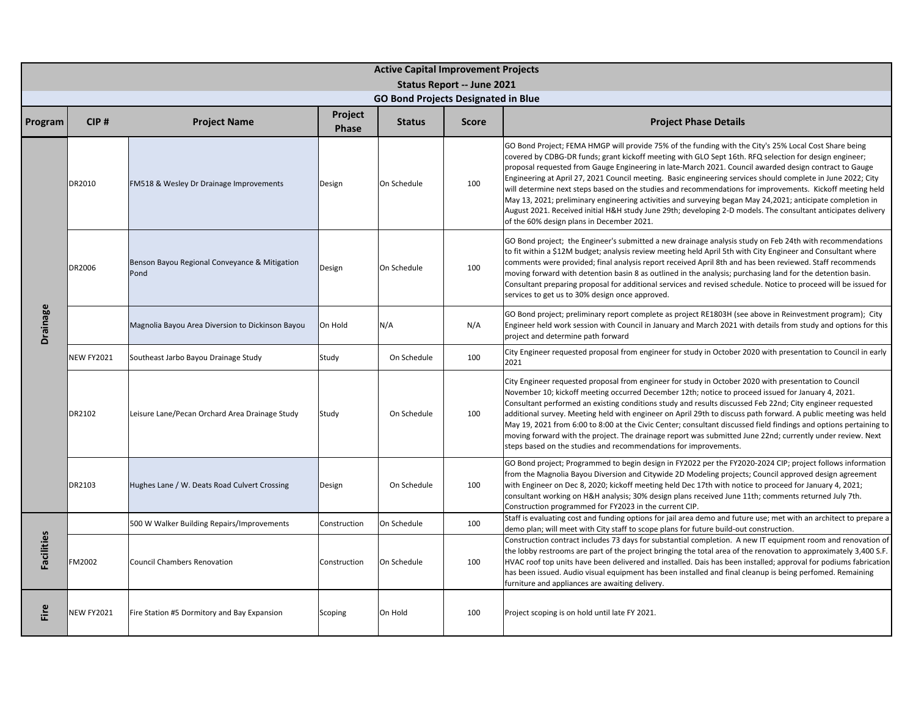|                   |                   |                                                       |                         | <b>Active Capital Improvement Projects</b><br>Status Report -- June 2021 |              |                                                                                                                                                                                                                                                                                                                                                                                                                                                                                                                                                                                                                                                                                                                                                                                                                                     |  |  |  |
|-------------------|-------------------|-------------------------------------------------------|-------------------------|--------------------------------------------------------------------------|--------------|-------------------------------------------------------------------------------------------------------------------------------------------------------------------------------------------------------------------------------------------------------------------------------------------------------------------------------------------------------------------------------------------------------------------------------------------------------------------------------------------------------------------------------------------------------------------------------------------------------------------------------------------------------------------------------------------------------------------------------------------------------------------------------------------------------------------------------------|--|--|--|
|                   |                   |                                                       |                         | <b>GO Bond Projects Designated in Blue</b>                               |              |                                                                                                                                                                                                                                                                                                                                                                                                                                                                                                                                                                                                                                                                                                                                                                                                                                     |  |  |  |
| Program           | CIP#              | <b>Project Name</b>                                   | Project<br><b>Phase</b> | <b>Status</b>                                                            | <b>Score</b> | <b>Project Phase Details</b>                                                                                                                                                                                                                                                                                                                                                                                                                                                                                                                                                                                                                                                                                                                                                                                                        |  |  |  |
|                   | DR2010            | FM518 & Wesley Dr Drainage Improvements               | Design                  | On Schedule                                                              | 100          | GO Bond Project; FEMA HMGP will provide 75% of the funding with the City's 25% Local Cost Share being<br>covered by CDBG-DR funds; grant kickoff meeting with GLO Sept 16th. RFQ selection for design engineer;<br>proposal requested from Gauge Engineering in late-March 2021. Council awarded design contract to Gauge<br>Engineering at April 27, 2021 Council meeting. Basic engineering services should complete in June 2022; City<br>will determine next steps based on the studies and recommendations for improvements. Kickoff meeting held<br>May 13, 2021; preliminary engineering activities and surveying began May 24, 2021; anticipate completion in<br>August 2021. Received initial H&H study June 29th; developing 2-D models. The consultant anticipates delivery<br>of the 60% design plans in December 2021. |  |  |  |
| Drainage          | DR2006            | Benson Bayou Regional Conveyance & Mitigation<br>Pond | Design                  | On Schedule                                                              | 100          | GO Bond project; the Engineer's submitted a new drainage analysis study on Feb 24th with recommendations<br>to fit within a \$12M budget; analysis review meeting held April 5th with City Engineer and Consultant where<br>comments were provided; final analysis report received April 8th and has been reviewed. Staff recommends<br>moving forward with detention basin 8 as outlined in the analysis; purchasing land for the detention basin.<br>Consultant preparing proposal for additional services and revised schedule. Notice to proceed will be issued for<br>services to get us to 30% design once approved.                                                                                                                                                                                                          |  |  |  |
|                   |                   | Magnolia Bayou Area Diversion to Dickinson Bayou      | On Hold                 | N/A                                                                      | N/A          | GO Bond project; preliminary report complete as project RE1803H (see above in Reinvestment program); City<br>Engineer held work session with Council in January and March 2021 with details from study and options for this<br>project and determine path forward                                                                                                                                                                                                                                                                                                                                                                                                                                                                                                                                                                   |  |  |  |
|                   | <b>NEW FY2021</b> | Southeast Jarbo Bayou Drainage Study                  | Study                   | On Schedule                                                              | 100          | City Engineer requested proposal from engineer for study in October 2020 with presentation to Council in early<br>2021                                                                                                                                                                                                                                                                                                                                                                                                                                                                                                                                                                                                                                                                                                              |  |  |  |
|                   | DR2102            | Leisure Lane/Pecan Orchard Area Drainage Study        | Study                   | On Schedule                                                              | 100          | City Engineer requested proposal from engineer for study in October 2020 with presentation to Council<br>November 10; kickoff meeting occurred December 12th; notice to proceed issued for January 4, 2021.<br>Consultant performed an existing conditions study and results discussed Feb 22nd; City engineer requested<br>additional survey. Meeting held with engineer on April 29th to discuss path forward. A public meeting was held<br>May 19, 2021 from 6:00 to 8:00 at the Civic Center; consultant discussed field findings and options pertaining to<br>moving forward with the project. The drainage report was submitted June 22nd; currently under review. Next<br>steps based on the studies and recommendations for improvements.                                                                                   |  |  |  |
|                   | DR2103            | Hughes Lane / W. Deats Road Culvert Crossing          | Design                  | On Schedule                                                              | 100          | GO Bond project; Programmed to begin design in FY2022 per the FY2020-2024 CIP; project follows information<br>from the Magnolia Bayou Diversion and Citywide 2D Modeling projects; Council approved design agreement<br>with Engineer on Dec 8, 2020; kickoff meeting held Dec 17th with notice to proceed for January 4, 2021;<br>consultant working on H&H analysis; 30% design plans received June 11th; comments returned July 7th.<br>Construction programmed for FY2023 in the current CIP.                                                                                                                                                                                                                                                                                                                                   |  |  |  |
|                   |                   | 500 W Walker Building Repairs/Improvements            | Construction            | On Schedule                                                              | 100          | Staff is evaluating cost and funding options for jail area demo and future use; met with an architect to prepare a<br>demo plan; will meet with City staff to scope plans for future build-out construction.                                                                                                                                                                                                                                                                                                                                                                                                                                                                                                                                                                                                                        |  |  |  |
| <b>Facilities</b> | FM2002            | <b>Council Chambers Renovation</b>                    | Construction            | On Schedule                                                              | 100          | Construction contract includes 73 days for substantial completion. A new IT equipment room and renovation of<br>the lobby restrooms are part of the project bringing the total area of the renovation to approximately 3,400 S.F.<br>HVAC roof top units have been delivered and installed. Dais has been installed; approval for podiums fabrication<br>has been issued. Audio visual equipment has been installed and final cleanup is being perfomed. Remaining<br>furniture and appliances are awaiting delivery.                                                                                                                                                                                                                                                                                                               |  |  |  |
| Fire              | <b>NEW FY2021</b> | Fire Station #5 Dormitory and Bay Expansion           | Scoping                 | On Hold                                                                  | 100          | Project scoping is on hold until late FY 2021.                                                                                                                                                                                                                                                                                                                                                                                                                                                                                                                                                                                                                                                                                                                                                                                      |  |  |  |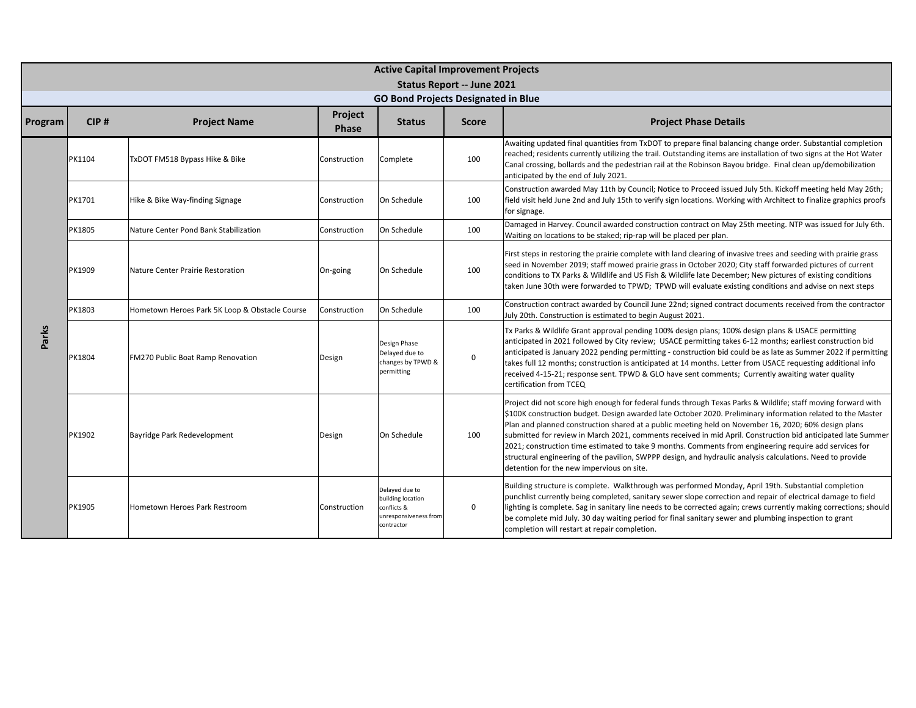|         |        |                                                |                  | <b>Active Capital Improvement Projects</b>                                                |              |                                                                                                                                                                                                                                                                                                                                                                                                                                                                                                                                                                                                                                                                                                                           |  |  |  |
|---------|--------|------------------------------------------------|------------------|-------------------------------------------------------------------------------------------|--------------|---------------------------------------------------------------------------------------------------------------------------------------------------------------------------------------------------------------------------------------------------------------------------------------------------------------------------------------------------------------------------------------------------------------------------------------------------------------------------------------------------------------------------------------------------------------------------------------------------------------------------------------------------------------------------------------------------------------------------|--|--|--|
|         |        |                                                |                  | Status Report -- June 2021                                                                |              |                                                                                                                                                                                                                                                                                                                                                                                                                                                                                                                                                                                                                                                                                                                           |  |  |  |
|         |        |                                                |                  | <b>GO Bond Projects Designated in Blue</b>                                                |              |                                                                                                                                                                                                                                                                                                                                                                                                                                                                                                                                                                                                                                                                                                                           |  |  |  |
| Program | CIP#   | <b>Project Name</b>                            | Project<br>Phase | <b>Status</b>                                                                             | <b>Score</b> | <b>Project Phase Details</b>                                                                                                                                                                                                                                                                                                                                                                                                                                                                                                                                                                                                                                                                                              |  |  |  |
|         | PK1104 | TxDOT FM518 Bypass Hike & Bike                 | Construction     | Complete                                                                                  | 100          | Awaiting updated final quantities from TxDOT to prepare final balancing change order. Substantial completion<br>reached; residents currently utilizing the trail. Outstanding items are installation of two signs at the Hot Water<br>Canal crossing, bollards and the pedestrian rail at the Robinson Bayou bridge. Final clean up/demobilization<br>anticipated by the end of July 2021.                                                                                                                                                                                                                                                                                                                                |  |  |  |
|         | PK1701 | Hike & Bike Way-finding Signage                | Construction     | On Schedule                                                                               | 100          | Construction awarded May 11th by Council; Notice to Proceed issued July 5th. Kickoff meeting held May 26th;<br>field visit held June 2nd and July 15th to verify sign locations. Working with Architect to finalize graphics proofs<br>for signage.                                                                                                                                                                                                                                                                                                                                                                                                                                                                       |  |  |  |
|         | PK1805 | Nature Center Pond Bank Stabilization          | Construction     | On Schedule                                                                               | 100          | Damaged in Harvey. Council awarded construction contract on May 25th meeting. NTP was issued for July 6th.<br>Waiting on locations to be staked; rip-rap will be placed per plan.                                                                                                                                                                                                                                                                                                                                                                                                                                                                                                                                         |  |  |  |
|         | PK1909 | Nature Center Prairie Restoration              | On-going         | On Schedule                                                                               | 100          | First steps in restoring the prairie complete with land clearing of invasive trees and seeding with prairie grass<br>seed in November 2019; staff mowed prairie grass in October 2020; City staff forwarded pictures of current<br>conditions to TX Parks & Wildlife and US Fish & Wildlife late December; New pictures of existing conditions<br>taken June 30th were forwarded to TPWD; TPWD will evaluate existing conditions and advise on next steps                                                                                                                                                                                                                                                                 |  |  |  |
|         | PK1803 | Hometown Heroes Park 5K Loop & Obstacle Course | Construction     | On Schedule                                                                               | 100          | Construction contract awarded by Council June 22nd; signed contract documents received from the contractor<br>July 20th. Construction is estimated to begin August 2021.                                                                                                                                                                                                                                                                                                                                                                                                                                                                                                                                                  |  |  |  |
| Parks   | PK1804 | FM270 Public Boat Ramp Renovation              | Design           | Design Phase<br>Delayed due to<br>changes by TPWD &<br>permitting                         | $\mathbf 0$  | Tx Parks & Wildlife Grant approval pending 100% design plans; 100% design plans & USACE permitting<br>anticipated in 2021 followed by City review; USACE permitting takes 6-12 months; earliest construction bid<br>anticipated is January 2022 pending permitting - construction bid could be as late as Summer 2022 if permitting<br>takes full 12 months; construction is anticipated at 14 months. Letter from USACE requesting additional info<br>eceived 4-15-21; response sent. TPWD & GLO have sent comments; Currently awaiting water quality<br>certification from TCEQ                                                                                                                                         |  |  |  |
|         | PK1902 | Bayridge Park Redevelopment                    | Design           | On Schedule                                                                               | 100          | Project did not score high enough for federal funds through Texas Parks & Wildlife; staff moving forward with<br>\$100K construction budget. Design awarded late October 2020. Preliminary information related to the Master<br>Plan and planned construction shared at a public meeting held on November 16, 2020; 60% design plans<br>submitted for review in March 2021, comments received in mid April. Construction bid anticipated late Summer<br>2021; construction time estimated to take 9 months. Comments from engineering require add services for<br>structural engineering of the pavilion, SWPPP design, and hydraulic analysis calculations. Need to provide<br>detention for the new impervious on site. |  |  |  |
|         | PK1905 | Hometown Heroes Park Restroom                  | Construction     | Delayed due to<br>building location<br>conflicts &<br>unresponsiveness from<br>contractor | $\mathbf 0$  | Building structure is complete. Walkthrough was performed Monday, April 19th. Substantial completion<br>punchlist currently being completed, sanitary sewer slope correction and repair of electrical damage to field<br>lighting is complete. Sag in sanitary line needs to be corrected again; crews currently making corrections; should<br>be complete mid July. 30 day waiting period for final sanitary sewer and plumbing inspection to grant<br>completion will restart at repair completion.                                                                                                                                                                                                                     |  |  |  |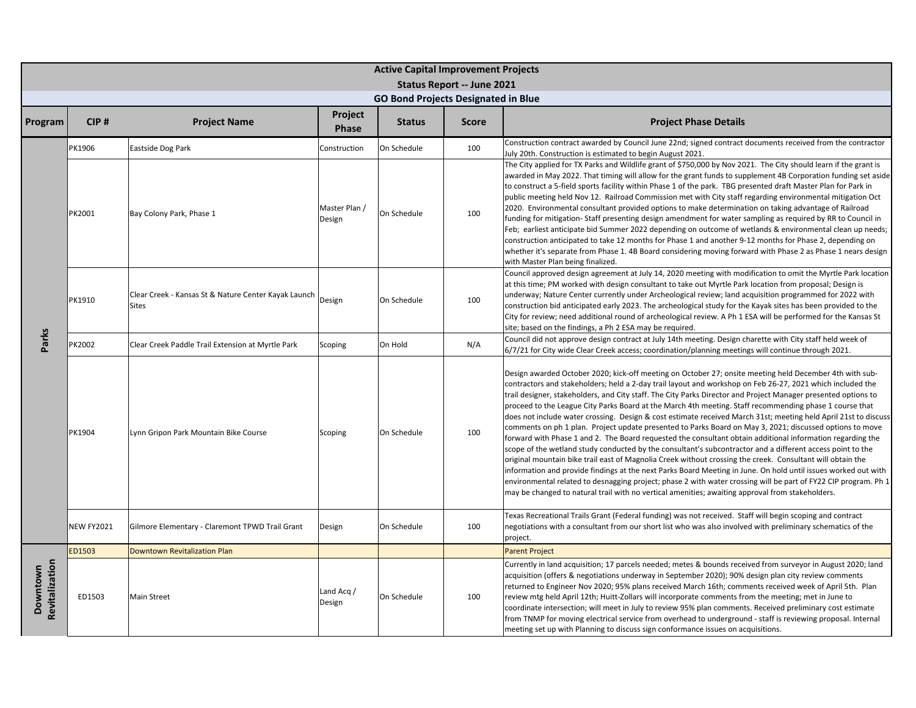|                            |                   |                                                                      |                         | <b>Active Capital Improvement Projects</b> | <b>Status Report -- June 2021</b> |                                                                                                                                                                                                                                                                                                                                                                                                                                                                                                                                                                                                                                                                                                                                                                                                                                                                                                                                                                                                                                                                                                                                                                                                                                                                                                                                                                      |
|----------------------------|-------------------|----------------------------------------------------------------------|-------------------------|--------------------------------------------|-----------------------------------|----------------------------------------------------------------------------------------------------------------------------------------------------------------------------------------------------------------------------------------------------------------------------------------------------------------------------------------------------------------------------------------------------------------------------------------------------------------------------------------------------------------------------------------------------------------------------------------------------------------------------------------------------------------------------------------------------------------------------------------------------------------------------------------------------------------------------------------------------------------------------------------------------------------------------------------------------------------------------------------------------------------------------------------------------------------------------------------------------------------------------------------------------------------------------------------------------------------------------------------------------------------------------------------------------------------------------------------------------------------------|
|                            |                   |                                                                      |                         | <b>GO Bond Projects Designated in Blue</b> |                                   |                                                                                                                                                                                                                                                                                                                                                                                                                                                                                                                                                                                                                                                                                                                                                                                                                                                                                                                                                                                                                                                                                                                                                                                                                                                                                                                                                                      |
| Program                    | CIP#              | <b>Project Name</b>                                                  | Project<br><b>Phase</b> | <b>Status</b>                              | <b>Score</b>                      | <b>Project Phase Details</b>                                                                                                                                                                                                                                                                                                                                                                                                                                                                                                                                                                                                                                                                                                                                                                                                                                                                                                                                                                                                                                                                                                                                                                                                                                                                                                                                         |
|                            | PK1906            | Eastside Dog Park                                                    | Construction            | On Schedule                                | 100                               | Construction contract awarded by Council June 22nd; signed contract documents received from the contractor<br>July 20th. Construction is estimated to begin August 2021.                                                                                                                                                                                                                                                                                                                                                                                                                                                                                                                                                                                                                                                                                                                                                                                                                                                                                                                                                                                                                                                                                                                                                                                             |
|                            | PK2001            | Bay Colony Park, Phase 1                                             | Master Plan /<br>Design | On Schedule                                | 100                               | The City applied for TX Parks and Wildlife grant of \$750,000 by Nov 2021. The City should learn if the grant is<br>awarded in May 2022. That timing will allow for the grant funds to supplement 4B Corporation funding set aside<br>to construct a 5-field sports facility within Phase 1 of the park. TBG presented draft Master Plan for Park in<br>public meeting held Nov 12. Railroad Commission met with City staff regarding environmental mitigation Oct<br>2020. Environmental consultant provided options to make determination on taking advantage of Railroad<br>funding for mitigation-Staff presenting design amendment for water sampling as required by RR to Council in<br>Feb; earliest anticipate bid Summer 2022 depending on outcome of wetlands & environmental clean up needs;<br>construction anticipated to take 12 months for Phase 1 and another 9-12 months for Phase 2, depending on<br>whether it's separate from Phase 1. 4B Board considering moving forward with Phase 2 as Phase 1 nears design<br>with Master Plan being finalized.                                                                                                                                                                                                                                                                                             |
|                            | PK1910            | Clear Creek - Kansas St & Nature Center Kayak Launch<br><b>Sites</b> | Design                  | On Schedule                                | 100                               | Council approved design agreement at July 14, 2020 meeting with modification to omit the Myrtle Park location<br>at this time; PM worked with design consultant to take out Myrtle Park location from proposal; Design is<br>underway; Nature Center currently under Archeological review; land acquisition programmed for 2022 with<br>construction bid anticipated early 2023. The archeological study for the Kayak sites has been provided to the<br>City for review; need additional round of archeological review. A Ph 1 ESA will be performed for the Kansas St<br>site; based on the findings, a Ph 2 ESA may be required.                                                                                                                                                                                                                                                                                                                                                                                                                                                                                                                                                                                                                                                                                                                                  |
| Parks                      | PK2002            | Clear Creek Paddle Trail Extension at Myrtle Park                    | Scoping                 | On Hold                                    | N/A                               | Council did not approve design contract at July 14th meeting. Design charette with City staff held week of<br>6/7/21 for City wide Clear Creek access; coordination/planning meetings will continue through 2021.                                                                                                                                                                                                                                                                                                                                                                                                                                                                                                                                                                                                                                                                                                                                                                                                                                                                                                                                                                                                                                                                                                                                                    |
|                            | PK1904            | Lynn Gripon Park Mountain Bike Course                                | Scoping                 | On Schedule                                | 100                               | Design awarded October 2020; kick-off meeting on October 27; onsite meeting held December 4th with sub-<br>contractors and stakeholders; held a 2-day trail layout and workshop on Feb 26-27, 2021 which included the<br>trail designer, stakeholders, and City staff. The City Parks Director and Project Manager presented options to<br>proceed to the League City Parks Board at the March 4th meeting. Staff recommending phase 1 course that<br>does not include water crossing. Design & cost estimate received March 31st; meeting held April 21st to discuss<br>comments on ph 1 plan. Project update presented to Parks Board on May 3, 2021; discussed options to move<br>forward with Phase 1 and 2. The Board requested the consultant obtain additional information regarding the<br>scope of the wetland study conducted by the consultant's subcontractor and a different access point to the<br>original mountain bike trail east of Magnolia Creek without crossing the creek. Consultant will obtain the<br>information and provide findings at the next Parks Board Meeting in June. On hold until issues worked out with<br>environmental related to desnagging project; phase 2 with water crossing will be part of FY22 CIP program. Ph 1<br>may be changed to natural trail with no vertical amenities; awaiting approval from stakeholders. |
|                            | <b>NEW FY2021</b> | Gilmore Elementary - Claremont TPWD Trail Grant                      | Design                  | On Schedule                                | 100                               | Texas Recreational Trails Grant (Federal funding) was not received. Staff will begin scoping and contract<br>negotiations with a consultant from our short list who was also involved with preliminary schematics of the<br>project.                                                                                                                                                                                                                                                                                                                                                                                                                                                                                                                                                                                                                                                                                                                                                                                                                                                                                                                                                                                                                                                                                                                                 |
|                            | ED1503            | <b>Downtown Revitalization Plan</b>                                  |                         |                                            |                                   | <b>Parent Project</b>                                                                                                                                                                                                                                                                                                                                                                                                                                                                                                                                                                                                                                                                                                                                                                                                                                                                                                                                                                                                                                                                                                                                                                                                                                                                                                                                                |
| Revitalization<br>Downtown | ED1503            | <b>Main Street</b>                                                   | Land Acq /<br>Design    | On Schedule                                | 100                               | Currently in land acquisition; 17 parcels needed; metes & bounds received from surveyor in August 2020; land<br>acquisition (offers & negotiations underway in September 2020); 90% design plan city review comments<br>returned to Engineer Nov 2020; 95% plans received March 16th; comments received week of April 5th. Plan<br>review mtg held April 12th; Huitt-Zollars will incorporate comments from the meeting; met in June to<br>coordinate intersection; will meet in July to review 95% plan comments. Received preliminary cost estimate<br>from TNMP for moving electrical service from overhead to underground - staff is reviewing proposal. Internal<br>meeting set up with Planning to discuss sign conformance issues on acquisitions.                                                                                                                                                                                                                                                                                                                                                                                                                                                                                                                                                                                                            |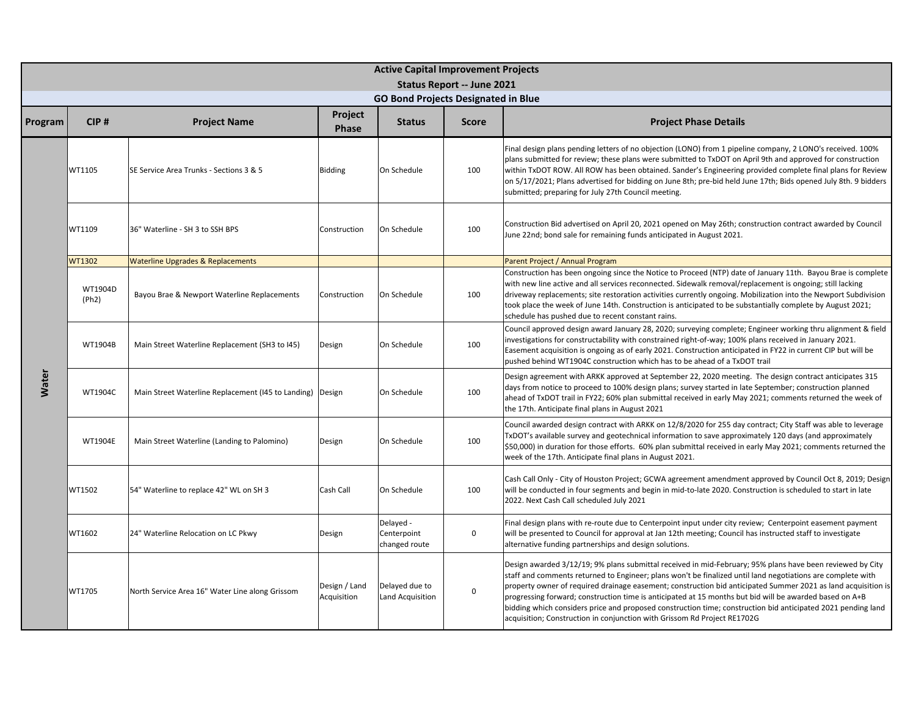|              |                  |                                                           |                              | <b>Active Capital Improvement Projects</b><br>Status Report -- June 2021 |              |                                                                                                                                                                                                                                                                                                                                                                                                                                                                                                                                                                                                                                                  |  |  |  |
|--------------|------------------|-----------------------------------------------------------|------------------------------|--------------------------------------------------------------------------|--------------|--------------------------------------------------------------------------------------------------------------------------------------------------------------------------------------------------------------------------------------------------------------------------------------------------------------------------------------------------------------------------------------------------------------------------------------------------------------------------------------------------------------------------------------------------------------------------------------------------------------------------------------------------|--|--|--|
|              |                  |                                                           |                              | <b>GO Bond Projects Designated in Blue</b>                               |              |                                                                                                                                                                                                                                                                                                                                                                                                                                                                                                                                                                                                                                                  |  |  |  |
| Program      | CIP#             | <b>Project Name</b>                                       | Project<br><b>Phase</b>      | <b>Status</b>                                                            | <b>Score</b> | <b>Project Phase Details</b>                                                                                                                                                                                                                                                                                                                                                                                                                                                                                                                                                                                                                     |  |  |  |
|              | WT1105           | SE Service Area Trunks - Sections 3 & 5                   | <b>Bidding</b>               | On Schedule                                                              | 100          | Final design plans pending letters of no objection (LONO) from 1 pipeline company, 2 LONO's received. 100%<br>plans submitted for review; these plans were submitted to TxDOT on April 9th and approved for construction<br>within TxDOT ROW. All ROW has been obtained. Sander's Engineering provided complete final plans for Review<br>on 5/17/2021; Plans advertised for bidding on June 8th; pre-bid held June 17th; Bids opened July 8th. 9 bidders<br>submitted; preparing for July 27th Council meeting.                                                                                                                                 |  |  |  |
|              | WT1109           | 36" Waterline - SH 3 to SSH BPS                           | Construction                 | On Schedule                                                              | 100          | Construction Bid advertised on April 20, 2021 opened on May 26th; construction contract awarded by Council<br>June 22nd; bond sale for remaining funds anticipated in August 2021.                                                                                                                                                                                                                                                                                                                                                                                                                                                               |  |  |  |
|              | WT1302           | <b>Waterline Upgrades &amp; Replacements</b>              |                              |                                                                          |              | Parent Project / Annual Program                                                                                                                                                                                                                                                                                                                                                                                                                                                                                                                                                                                                                  |  |  |  |
|              | WT1904D<br>(Ph2) | Bayou Brae & Newport Waterline Replacements               | Construction                 | On Schedule                                                              | 100          | Construction has been ongoing since the Notice to Proceed (NTP) date of January 11th. Bayou Brae is complete<br>with new line active and all services reconnected. Sidewalk removal/replacement is ongoing; still lacking<br>driveway replacements; site restoration activities currently ongoing. Mobilization into the Newport Subdivision<br>took place the week of June 14th. Construction is anticipated to be substantially complete by August 2021;<br>schedule has pushed due to recent constant rains.                                                                                                                                  |  |  |  |
|              | WT1904B          | Main Street Waterline Replacement (SH3 to I45)            | Design                       | On Schedule                                                              | 100          | Council approved design award January 28, 2020; surveying complete; Engineer working thru alignment & field<br>investigations for constructability with constrained right-of-way; 100% plans received in January 2021.<br>Easement acquisition is ongoing as of early 2021. Construction anticipated in FY22 in current CIP but will be<br>pushed behind WT1904C construction which has to be ahead of a TxDOT trail                                                                                                                                                                                                                             |  |  |  |
| <b>Water</b> | WT1904C          | Main Street Waterline Replacement (145 to Landing) Design |                              | On Schedule                                                              | 100          | Design agreement with ARKK approved at September 22, 2020 meeting. The design contract anticipates 315<br>days from notice to proceed to 100% design plans; survey started in late September; construction planned<br>ahead of TxDOT trail in FY22; 60% plan submittal received in early May 2021; comments returned the week of<br>the 17th. Anticipate final plans in August 2021                                                                                                                                                                                                                                                              |  |  |  |
|              | WT1904E          | Main Street Waterline (Landing to Palomino)               | Design                       | On Schedule                                                              | 100          | Council awarded design contract with ARKK on 12/8/2020 for 255 day contract; City Staff was able to leverage<br>TxDOT's available survey and geotechnical information to save approximately 120 days (and approximately<br>\$50,000) in duration for those efforts. 60% plan submittal received in early May 2021; comments returned the<br>week of the 17th. Anticipate final plans in August 2021.                                                                                                                                                                                                                                             |  |  |  |
|              | WT1502           | 54" Waterline to replace 42" WL on SH 3                   | Cash Call                    | On Schedule                                                              | 100          | Cash Call Only - City of Houston Project; GCWA agreement amendment approved by Council Oct 8, 2019; Design<br>will be conducted in four segments and begin in mid-to-late 2020. Construction is scheduled to start in late<br>2022. Next Cash Call scheduled July 2021                                                                                                                                                                                                                                                                                                                                                                           |  |  |  |
|              | WT1602           | 24" Waterline Relocation on LC Pkwy                       | Design                       | Delayed -<br>Centerpoint<br>changed route                                | 0            | Final design plans with re-route due to Centerpoint input under city review; Centerpoint easement payment<br>will be presented to Council for approval at Jan 12th meeting; Council has instructed staff to investigate<br>alternative funding partnerships and design solutions.                                                                                                                                                                                                                                                                                                                                                                |  |  |  |
|              | WT1705           | North Service Area 16" Water Line along Grissom           | Design / Land<br>Acquisition | Delayed due to<br>Land Acquisition                                       | $\mathsf 0$  | Design awarded 3/12/19; 9% plans submittal received in mid-February; 95% plans have been reviewed by City<br>staff and comments returned to Engineer; plans won't be finalized until land negotiations are complete with<br>property owner of required drainage easement; construction bid anticipated Summer 2021 as land acquisition is<br>progressing forward; construction time is anticipated at 15 months but bid will be awarded based on A+B<br>bidding which considers price and proposed construction time; construction bid anticipated 2021 pending land<br>acquisition; Construction in conjunction with Grissom Rd Project RE1702G |  |  |  |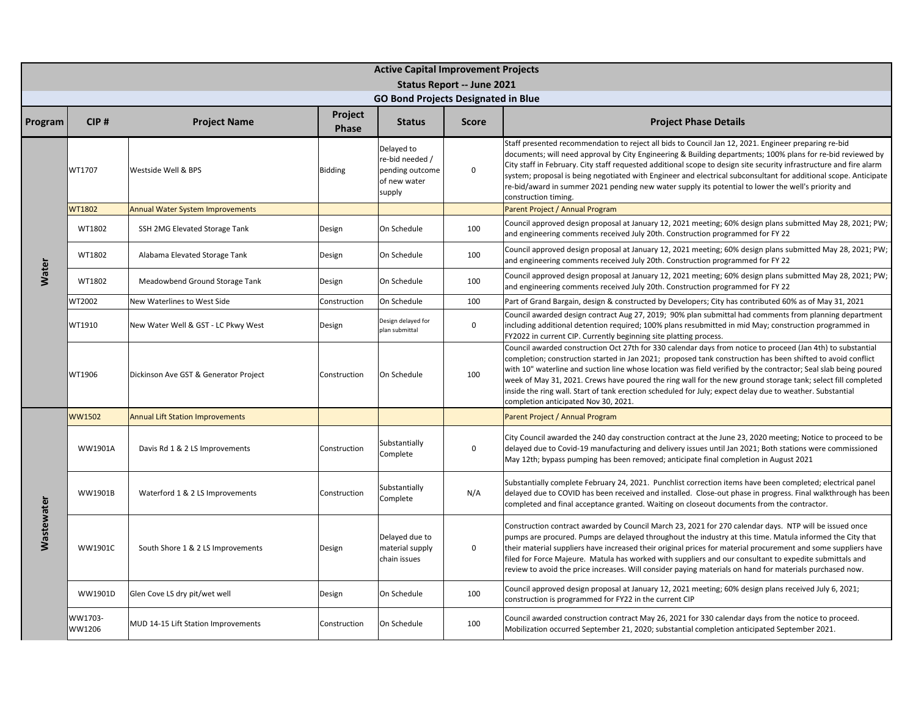|                   |                   |                                         |                  | <b>Active Capital Improvement Projects</b><br>Status Report -- June 2021   |              |                                                                                                                                                                                                                                                                                                                                                                                                                                                                                                                                                                                                                    |  |  |  |
|-------------------|-------------------|-----------------------------------------|------------------|----------------------------------------------------------------------------|--------------|--------------------------------------------------------------------------------------------------------------------------------------------------------------------------------------------------------------------------------------------------------------------------------------------------------------------------------------------------------------------------------------------------------------------------------------------------------------------------------------------------------------------------------------------------------------------------------------------------------------------|--|--|--|
|                   |                   |                                         |                  | <b>GO Bond Projects Designated in Blue</b>                                 |              |                                                                                                                                                                                                                                                                                                                                                                                                                                                                                                                                                                                                                    |  |  |  |
| Program           | CIP#              | <b>Project Name</b>                     | Project<br>Phase | <b>Status</b>                                                              | <b>Score</b> | <b>Project Phase Details</b>                                                                                                                                                                                                                                                                                                                                                                                                                                                                                                                                                                                       |  |  |  |
|                   | WT1707            | Westside Well & BPS                     | <b>Bidding</b>   | Delayed to<br>re-bid needed /<br>pending outcome<br>of new water<br>supply | $\mathbf 0$  | Staff presented recommendation to reject all bids to Council Jan 12, 2021. Engineer preparing re-bid<br>documents; will need approval by City Engineering & Building departments; 100% plans for re-bid reviewed by<br>City staff in February. City staff requested additional scope to design site security infrastructure and fire alarm<br>system; proposal is being negotiated with Engineer and electrical subconsultant for additional scope. Anticipate<br>re-bid/award in summer 2021 pending new water supply its potential to lower the well's priority and<br>construction timing.                      |  |  |  |
|                   | WT1802            | <b>Annual Water System Improvements</b> |                  |                                                                            |              | Parent Project / Annual Program                                                                                                                                                                                                                                                                                                                                                                                                                                                                                                                                                                                    |  |  |  |
|                   | WT1802            | SSH 2MG Elevated Storage Tank           | Design           | On Schedule                                                                | 100          | Council approved design proposal at January 12, 2021 meeting; 60% design plans submitted May 28, 2021; PW;<br>and engineering comments received July 20th. Construction programmed for FY 22                                                                                                                                                                                                                                                                                                                                                                                                                       |  |  |  |
|                   | WT1802            | Alabama Elevated Storage Tank           | Design           | On Schedule                                                                | 100          | Council approved design proposal at January 12, 2021 meeting; 60% design plans submitted May 28, 2021; PW;<br>and engineering comments received July 20th. Construction programmed for FY 22                                                                                                                                                                                                                                                                                                                                                                                                                       |  |  |  |
| Water             | WT1802            | Meadowbend Ground Storage Tank          | Design           | On Schedule                                                                | 100          | Council approved design proposal at January 12, 2021 meeting; 60% design plans submitted May 28, 2021; PW;<br>and engineering comments received July 20th. Construction programmed for FY 22                                                                                                                                                                                                                                                                                                                                                                                                                       |  |  |  |
|                   | WT2002            | New Waterlines to West Side             | Construction     | On Schedule                                                                | 100          | Part of Grand Bargain, design & constructed by Developers; City has contributed 60% as of May 31, 2021                                                                                                                                                                                                                                                                                                                                                                                                                                                                                                             |  |  |  |
|                   | WT1910            | New Water Well & GST - LC Pkwy West     | Design           | Design delayed for<br>plan submittal                                       | 0            | Council awarded design contract Aug 27, 2019; 90% plan submittal had comments from planning department<br>including additional detention required; 100% plans resubmitted in mid May; construction programmed in<br>FY2022 in current CIP. Currently beginning site platting process.                                                                                                                                                                                                                                                                                                                              |  |  |  |
|                   | WT1906            | Dickinson Ave GST & Generator Project   | Construction     | On Schedule                                                                | 100          | Council awarded construction Oct 27th for 330 calendar days from notice to proceed (Jan 4th) to substantial<br>completion; construction started in Jan 2021; proposed tank construction has been shifted to avoid conflict<br>with 10" waterline and suction line whose location was field verified by the contractor; Seal slab being poured<br>week of May 31, 2021. Crews have poured the ring wall for the new ground storage tank; select fill completed<br>inside the ring wall. Start of tank erection scheduled for July; expect delay due to weather. Substantial<br>completion anticipated Nov 30, 2021. |  |  |  |
|                   | WW1502            | <b>Annual Lift Station Improvements</b> |                  |                                                                            |              | Parent Project / Annual Program                                                                                                                                                                                                                                                                                                                                                                                                                                                                                                                                                                                    |  |  |  |
|                   | WW1901A           | Davis Rd 1 & 2 LS Improvements          | Construction     | Substantially<br>Complete                                                  | 0            | City Council awarded the 240 day construction contract at the June 23, 2020 meeting; Notice to proceed to be<br>delayed due to Covid-19 manufacturing and delivery issues until Jan 2021; Both stations were commissioned<br>May 12th; bypass pumping has been removed; anticipate final completion in August 2021                                                                                                                                                                                                                                                                                                 |  |  |  |
|                   | <b>WW1901B</b>    | Waterford 1 & 2 LS Improvements         | Construction     | Substantially<br>Complete                                                  | N/A          | Substantially complete February 24, 2021. Punchlist correction items have been completed; electrical panel<br>delayed due to COVID has been received and installed. Close-out phase in progress. Final walkthrough has been<br>completed and final acceptance granted. Waiting on closeout documents from the contractor.                                                                                                                                                                                                                                                                                          |  |  |  |
| <b>Mastewater</b> | <b>WW1901C</b>    | South Shore 1 & 2 LS Improvements       | Design           | Delayed due to<br>material supply<br>chain issues                          | 0            | Construction contract awarded by Council March 23, 2021 for 270 calendar days. NTP will be issued once<br>pumps are procured. Pumps are delayed throughout the industry at this time. Matula informed the City that<br>their material suppliers have increased their original prices for material procurement and some suppliers have<br>filed for Force Majeure. Matula has worked with suppliers and our consultant to expedite submittals and<br>review to avoid the price increases. Will consider paying materials on hand for materials purchased now.                                                       |  |  |  |
|                   | WW1901D           | Glen Cove LS dry pit/wet well           | Design           | On Schedule                                                                | 100          | Council approved design proposal at January 12, 2021 meeting; 60% design plans received July 6, 2021;<br>construction is programmed for FY22 in the current CIP                                                                                                                                                                                                                                                                                                                                                                                                                                                    |  |  |  |
|                   | WW1703-<br>WW1206 | MUD 14-15 Lift Station Improvements     | Construction     | On Schedule                                                                | 100          | Council awarded construction contract May 26, 2021 for 330 calendar days from the notice to proceed.<br>Mobilization occurred September 21, 2020; substantial completion anticipated September 2021.                                                                                                                                                                                                                                                                                                                                                                                                               |  |  |  |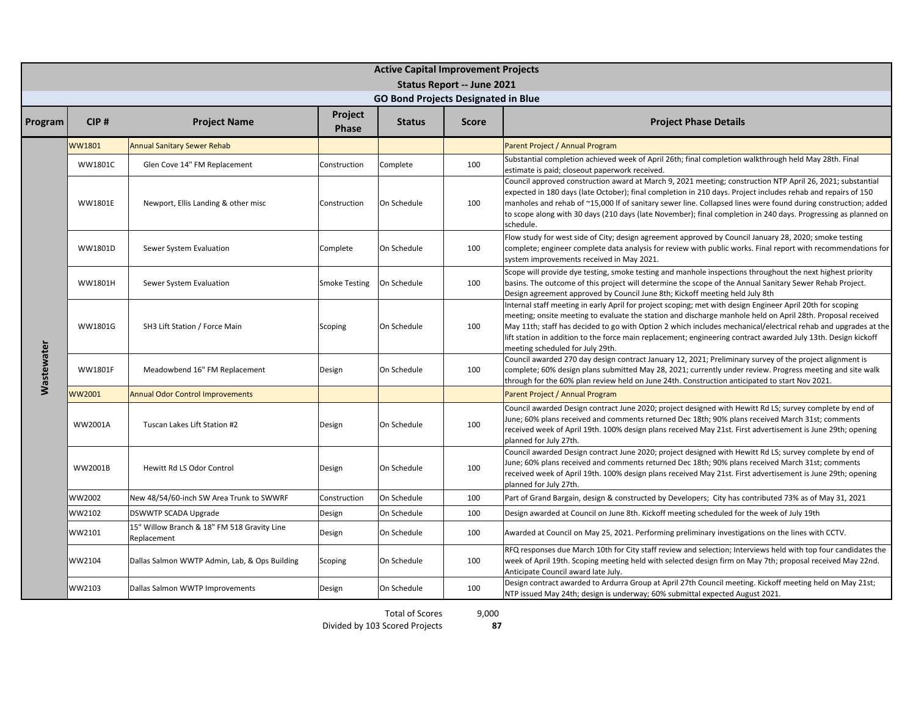|            | <b>Active Capital Improvement Projects</b><br><b>Status Report -- June 2021</b> |                                                            |                         |                                            |              |                                                                                                                                                                                                                                                                                                                                                                                                                                                                                                   |  |  |  |
|------------|---------------------------------------------------------------------------------|------------------------------------------------------------|-------------------------|--------------------------------------------|--------------|---------------------------------------------------------------------------------------------------------------------------------------------------------------------------------------------------------------------------------------------------------------------------------------------------------------------------------------------------------------------------------------------------------------------------------------------------------------------------------------------------|--|--|--|
|            |                                                                                 |                                                            |                         | <b>GO Bond Projects Designated in Blue</b> |              |                                                                                                                                                                                                                                                                                                                                                                                                                                                                                                   |  |  |  |
| Program    | CIP#                                                                            | <b>Project Name</b>                                        | Project<br><b>Phase</b> | <b>Status</b>                              | <b>Score</b> | <b>Project Phase Details</b>                                                                                                                                                                                                                                                                                                                                                                                                                                                                      |  |  |  |
|            | WW1801                                                                          | <b>Annual Sanitary Sewer Rehab</b>                         |                         |                                            |              | Parent Project / Annual Program                                                                                                                                                                                                                                                                                                                                                                                                                                                                   |  |  |  |
|            | <b>WW1801C</b>                                                                  | Glen Cove 14" FM Replacement                               | Construction            | Complete                                   | 100          | Substantial completion achieved week of April 26th; final completion walkthrough held May 28th. Final<br>estimate is paid; closeout paperwork received.                                                                                                                                                                                                                                                                                                                                           |  |  |  |
|            | <b>WW1801E</b>                                                                  | Newport, Ellis Landing & other misc                        | Construction            | On Schedule                                | 100          | Council approved construction award at March 9, 2021 meeting; construction NTP April 26, 2021; substantial<br>expected in 180 days (late October); final completion in 210 days. Project includes rehab and repairs of 150<br>manholes and rehab of ~15,000 If of sanitary sewer line. Collapsed lines were found during construction; added<br>to scope along with 30 days (210 days (late November); final completion in 240 days. Progressing as planned on<br>schedule.                       |  |  |  |
|            | WW1801D                                                                         | Sewer System Evaluation                                    | Complete                | On Schedule                                | 100          | Flow study for west side of City; design agreement approved by Council January 28, 2020; smoke testing<br>complete; engineer complete data analysis for review with public works. Final report with recommendations for<br>system improvements received in May 2021.                                                                                                                                                                                                                              |  |  |  |
|            | <b>WW1801H</b>                                                                  | Sewer System Evaluation                                    | <b>Smoke Testing</b>    | On Schedule                                | 100          | Scope will provide dye testing, smoke testing and manhole inspections throughout the next highest priority<br>basins. The outcome of this project will determine the scope of the Annual Sanitary Sewer Rehab Project.<br>Design agreement approved by Council June 8th; Kickoff meeting held July 8th                                                                                                                                                                                            |  |  |  |
|            | WW1801G                                                                         | SH3 Lift Station / Force Main                              | Scoping                 | On Schedule                                | 100          | Internal staff meeting in early April for project scoping; met with design Engineer April 20th for scoping<br>meeting; onsite meeting to evaluate the station and discharge manhole held on April 28th. Proposal received<br>May 11th; staff has decided to go with Option 2 which includes mechanical/electrical rehab and upgrades at the<br>lift station in addition to the force main replacement; engineering contract awarded July 13th. Design kickoff<br>meeting scheduled for July 29th. |  |  |  |
| Wastewater | WW1801F                                                                         | Meadowbend 16" FM Replacement                              | Design                  | On Schedule                                | 100          | Council awarded 270 day design contract January 12, 2021; Preliminary survey of the project alignment is<br>complete; 60% design plans submitted May 28, 2021; currently under review. Progress meeting and site walk<br>through for the 60% plan review held on June 24th. Construction anticipated to start Nov 2021.                                                                                                                                                                           |  |  |  |
|            | WW2001                                                                          | <b>Annual Odor Control Improvements</b>                    |                         |                                            |              | Parent Project / Annual Program                                                                                                                                                                                                                                                                                                                                                                                                                                                                   |  |  |  |
|            | WW2001A                                                                         | Tuscan Lakes Lift Station #2                               | Design                  | On Schedule                                | 100          | Council awarded Design contract June 2020; project designed with Hewitt Rd LS; survey complete by end of<br>June; 60% plans received and comments returned Dec 18th; 90% plans received March 31st; comments<br>received week of April 19th. 100% design plans received May 21st. First advertisement is June 29th; opening<br>planned for July 27th.                                                                                                                                             |  |  |  |
|            | WW2001B                                                                         | Hewitt Rd LS Odor Control                                  | Design                  | On Schedule                                | 100          | Council awarded Design contract June 2020; project designed with Hewitt Rd LS; survey complete by end of<br>June; 60% plans received and comments returned Dec 18th; 90% plans received March 31st; comments<br>received week of April 19th. 100% design plans received May 21st. First advertisement is June 29th; opening<br>planned for July 27th.                                                                                                                                             |  |  |  |
|            | WW2002                                                                          | New 48/54/60-inch SW Area Trunk to SWWRF                   | Construction            | On Schedule                                | 100          | Part of Grand Bargain, design & constructed by Developers; City has contributed 73% as of May 31, 2021                                                                                                                                                                                                                                                                                                                                                                                            |  |  |  |
|            | WW2102                                                                          | <b>DSWWTP SCADA Upgrade</b>                                | Design                  | On Schedule                                | 100          | Design awarded at Council on June 8th. Kickoff meeting scheduled for the week of July 19th                                                                                                                                                                                                                                                                                                                                                                                                        |  |  |  |
|            | WW2101                                                                          | 15" Willow Branch & 18" FM 518 Gravity Line<br>Replacement | Design                  | On Schedule                                | 100          | Awarded at Council on May 25, 2021. Performing preliminary investigations on the lines with CCTV.                                                                                                                                                                                                                                                                                                                                                                                                 |  |  |  |
|            | WW2104                                                                          | Dallas Salmon WWTP Admin, Lab, & Ops Building              | Scoping                 | On Schedule                                | 100          | RFQ responses due March 10th for City staff review and selection; Interviews held with top four candidates the<br>week of April 19th. Scoping meeting held with selected design firm on May 7th; proposal received May 22nd.<br>Anticipate Council award late July.                                                                                                                                                                                                                               |  |  |  |
|            | WW2103                                                                          | Dallas Salmon WWTP Improvements                            | Design                  | On Schedule                                | 100          | Design contract awarded to Ardurra Group at April 27th Council meeting. Kickoff meeting held on May 21st;<br>NTP issued May 24th; design is underway; 60% submittal expected August 2021.                                                                                                                                                                                                                                                                                                         |  |  |  |

Total of Scores

9,000 **87**